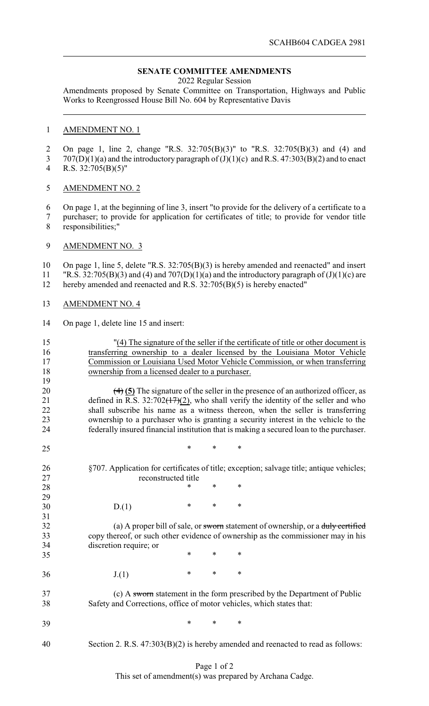## **SENATE COMMITTEE AMENDMENTS**

2022 Regular Session

Amendments proposed by Senate Committee on Transportation, Highways and Public Works to Reengrossed House Bill No. 604 by Representative Davis

## AMENDMENT NO. 1

 On page 1, line 2, change "R.S. 32:705(B)(3)" to "R.S. 32:705(B)(3) and (4) and 707(D)(1)(a) and the introductory paragraph of (J)(1)(c) and R.S. 47:303(B)(2) and to enact

R.S. 32:705(B)(5)"

## AMENDMENT NO. 2

 On page 1, at the beginning of line 3, insert "to provide for the delivery of a certificate to a purchaser; to provide for application for certificates of title; to provide for vendor title responsibilities;"

AMENDMENT NO. 3

 On page 1, line 5, delete "R.S. 32:705(B)(3) is hereby amended and reenacted" and insert 11 "R.S. 32:705(B)(3) and (4) and 707(D)(1)(a) and the introductory paragraph of  $(J)(1)(c)$  are hereby amended and reenacted and R.S. 32:705(B)(5) is hereby enacted"

- AMENDMENT NO. 4
- On page 1, delete line 15 and insert:

| 15<br>16<br>17<br>18<br>19 | "(4) The signature of the seller if the certificate of title or other document is<br>transferring ownership to a dealer licensed by the Louisiana Motor Vehicle<br>Commission or Louisiana Used Motor Vehicle Commission, or when transferring<br>ownership from a licensed dealer to a purchaser. |        |        |                                                                                                     |  |  |  |  |
|----------------------------|----------------------------------------------------------------------------------------------------------------------------------------------------------------------------------------------------------------------------------------------------------------------------------------------------|--------|--------|-----------------------------------------------------------------------------------------------------|--|--|--|--|
| 20                         |                                                                                                                                                                                                                                                                                                    |        |        | $\left(\frac{4}{5}\right)$ The signature of the seller in the presence of an authorized officer, as |  |  |  |  |
| 21                         | defined in R.S. $32:702(17)(2)$ , who shall verify the identity of the seller and who                                                                                                                                                                                                              |        |        |                                                                                                     |  |  |  |  |
| 22                         | shall subscribe his name as a witness thereon, when the seller is transferring                                                                                                                                                                                                                     |        |        |                                                                                                     |  |  |  |  |
| 23                         | ownership to a purchaser who is granting a security interest in the vehicle to the                                                                                                                                                                                                                 |        |        |                                                                                                     |  |  |  |  |
| 24                         | federally insured financial institution that is making a secured loan to the purchaser.                                                                                                                                                                                                            |        |        |                                                                                                     |  |  |  |  |
| 25                         |                                                                                                                                                                                                                                                                                                    | *      | *      | $\ast$                                                                                              |  |  |  |  |
| 26                         | §707. Application for certificates of title; exception; salvage title; antique vehicles;                                                                                                                                                                                                           |        |        |                                                                                                     |  |  |  |  |
| 27                         | reconstructed title                                                                                                                                                                                                                                                                                |        |        |                                                                                                     |  |  |  |  |
| 28                         |                                                                                                                                                                                                                                                                                                    | *      | *      | $\ast$                                                                                              |  |  |  |  |
| 29                         |                                                                                                                                                                                                                                                                                                    |        |        |                                                                                                     |  |  |  |  |
| 30                         | D(1)                                                                                                                                                                                                                                                                                               | *      | $\ast$ | $\ast$                                                                                              |  |  |  |  |
| 31                         |                                                                                                                                                                                                                                                                                                    |        |        |                                                                                                     |  |  |  |  |
| 32                         | (a) A proper bill of sale, or sworn statement of ownership, or a duly certified                                                                                                                                                                                                                    |        |        |                                                                                                     |  |  |  |  |
| 33                         | copy thereof, or such other evidence of ownership as the commissioner may in his                                                                                                                                                                                                                   |        |        |                                                                                                     |  |  |  |  |
| 34                         | discretion require; or                                                                                                                                                                                                                                                                             |        |        |                                                                                                     |  |  |  |  |
| 35                         |                                                                                                                                                                                                                                                                                                    | *      | *      | *                                                                                                   |  |  |  |  |
| 36                         | J(1)                                                                                                                                                                                                                                                                                               | $\ast$ | $\ast$ | $\ast$                                                                                              |  |  |  |  |
| 37                         |                                                                                                                                                                                                                                                                                                    |        |        | (c) A sworm statement in the form prescribed by the Department of Public                            |  |  |  |  |
| 38                         | Safety and Corrections, office of motor vehicles, which states that:                                                                                                                                                                                                                               |        |        |                                                                                                     |  |  |  |  |
| 39                         |                                                                                                                                                                                                                                                                                                    | *      | *      | *                                                                                                   |  |  |  |  |
| 40                         |                                                                                                                                                                                                                                                                                                    |        |        | Section 2. R.S. $47:303(B)(2)$ is hereby amended and reenacted to read as follows:                  |  |  |  |  |

## Page 1 of 2

This set of amendment(s) was prepared by Archana Cadge.